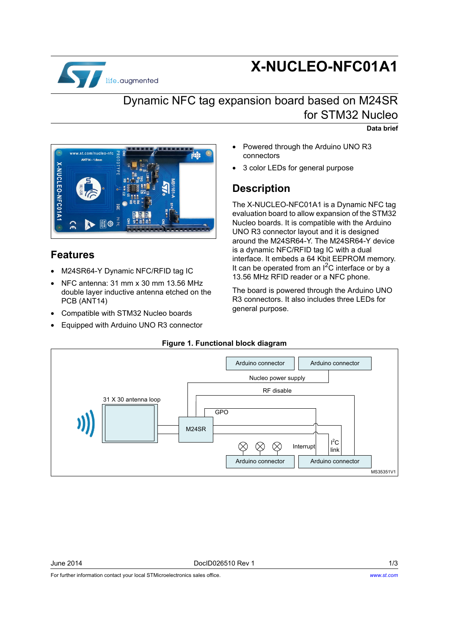

# **X-NUCLEO-NFC01A1**

## Dynamic NFC tag expansion board based on M24SR for STM32 Nucleo

**Data brief**



### **Features**

- M24SR64-Y Dynamic NFC/RFID tag IC
- NFC antenna: 31 mm x 30 mm 13.56 MHz double layer inductive antenna etched on the PCB (ANT14)
- Compatible with STM32 Nucleo boards
- Equipped with Arduino UNO R3 connector
- Powered through the Arduino UNO R3 connectors
- 3 color LEDs for general purpose

### **Description**

The X-NUCLEO-NFC01A1 is a Dynamic NFC tag evaluation board to allow expansion of the STM32 Nucleo boards. It is compatible with the Arduino UNO R3 connector layout and it is designed around the M24SR64-Y. The M24SR64-Y device is a dynamic NFC/RFID tag IC with a dual interface. It embeds a 64 Kbit EEPROM memory. It can be operated from an  $I^2C$  interface or by a 13.56 MHz RFID reader or a NFC phone.

The board is powered through the Arduino UNO R3 connectors. It also includes three LEDs for general purpose.

#### **Figure 1. Functional block diagram**



June 2014 DocID026510 Rev 1 1/3

For further information contact your local STMicroelectronics sales office.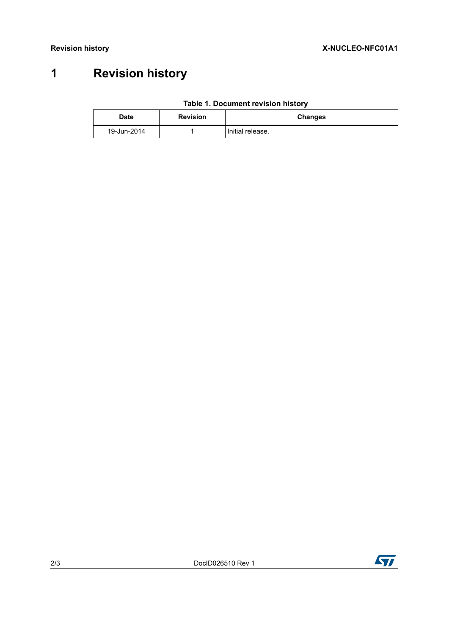# **1 Revision history**

| Table 1. Document revision history |  |  |
|------------------------------------|--|--|
|------------------------------------|--|--|

| Date        | <b>Revision</b> | <b>Changes</b>   |
|-------------|-----------------|------------------|
| 19-Jun-2014 |                 | Initial release. |